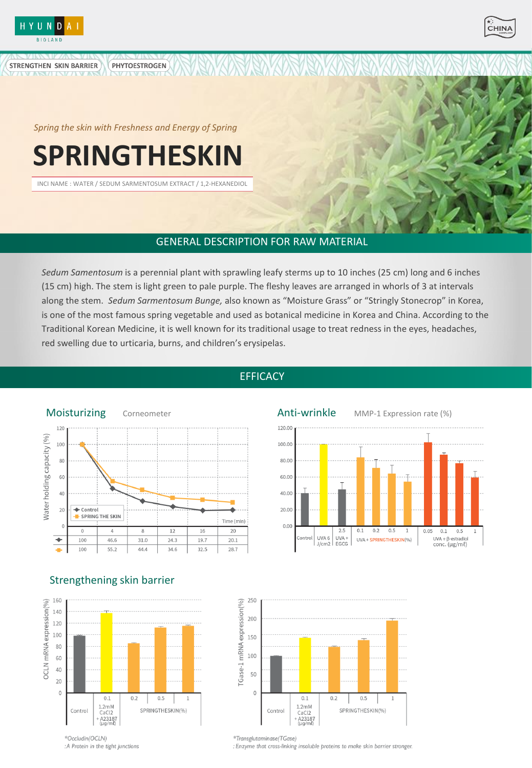

**STRENGTHEN SKIN BARRIER** 



*Spring the skin with Freshness and Energy of Spring*

**PHYTOESTROGEN** 

# **SPRINGTHESKIN**

INCI NAME : WATER / SEDUM SARMENTOSUM EXTRACT / 1,2-HEXANEDIOL

# GENERAL DESCRIPTION FOR RAW MATERIAL

*Sedum Samentosum* is a perennial plant with sprawling leafy sterms up to 10 inches (25 cm) long and 6 inches (15 cm) high. The stem is light green to pale purple. The fleshy leaves are arranged in whorls of 3 at intervals along the stem. *Sedum Sarmentosum Bunge,* also known as "Moisture Grass" or "Stringly Stonecrop" in Korea, is one of the most famous spring vegetable and used as botanical medicine in Korea and China. According to the Traditional Korean Medicine, it is well known for its traditional usage to treat redness in the eyes, headaches, red swelling due to urticaria, burns, and children's erysipelas.



# Strengthening skin barrier



# **EFFICACY**





### 250 TGase-1 mRNA expression(%) 200 150 100 50  $\mathbf 0$  $0.1$  $0.2$  $0.5$  $\mathbf{1}$  $1.2<sub>m</sub>$ M SPRINGTHESKIN(%) Control CaCl<sub>2</sub> + A23187<br>(µg/ml)

\*Transglutaminase(TGase) : Enzyme that cross-linking insoluble proteins to make skin barrier stronger.

<sup>\*</sup>Occludin(OCLN) :A Protein in the tight junctions